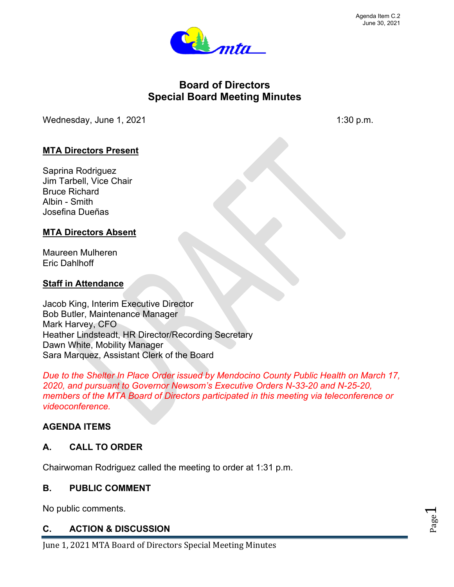Page  $\blacktriangleleft$ 



# **Board of Directors Special Board Meeting Minutes**

Wednesday, June  $1, 2021$  1:30 p.m.

## **MTA Directors Present**

Saprina Rodriguez Jim Tarbell, Vice Chair Bruce Richard Albin - Smith Josefina Dueñas

## **MTA Directors Absent**

Maureen Mulheren Eric Dahlhoff

## **Staff in Attendance**

Jacob King, Interim Executive Director Bob Butler, Maintenance Manager Mark Harvey, CFO Heather Lindsteadt, HR Director/Recording Secretary Dawn White, Mobility Manager Sara Marquez, Assistant Clerk of the Board

*Due to the Shelter In Place Order issued by Mendocino County Public Health on March 17, 2020, and pursuant to Governor Newsom's Executive Orders N-33-20 and N-25-20, members of the MTA Board of Directors participated in this meeting via teleconference or videoconference.* 

## **AGENDA ITEMS**

## **A. CALL TO ORDER**

Chairwoman Rodriguez called the meeting to order at 1:31 p.m.

#### **B. PUBLIC COMMENT**

No public comments.

## **C. ACTION & DISCUSSION**